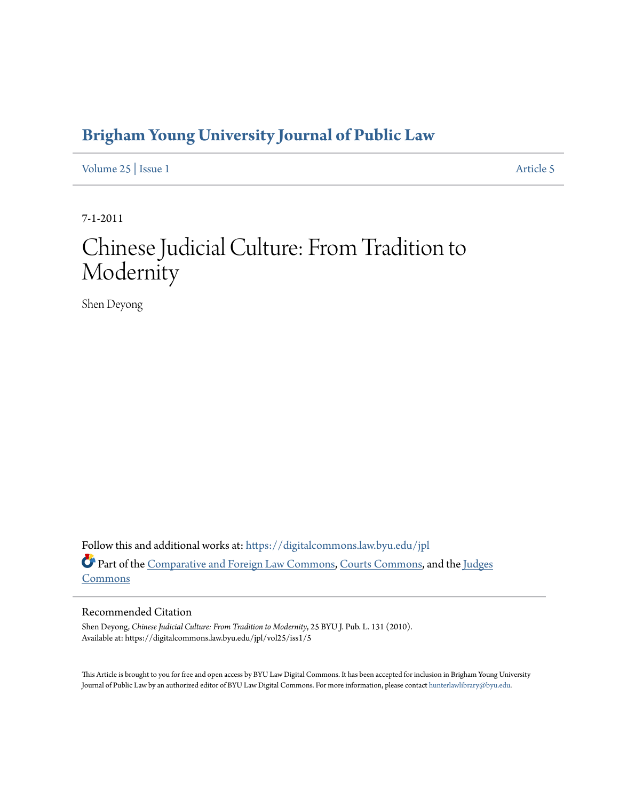## **[Brigham Young University Journal of Public Law](https://digitalcommons.law.byu.edu/jpl?utm_source=digitalcommons.law.byu.edu%2Fjpl%2Fvol25%2Fiss1%2F5&utm_medium=PDF&utm_campaign=PDFCoverPages)**

[Volume 25](https://digitalcommons.law.byu.edu/jpl/vol25?utm_source=digitalcommons.law.byu.edu%2Fjpl%2Fvol25%2Fiss1%2F5&utm_medium=PDF&utm_campaign=PDFCoverPages) | [Issue 1](https://digitalcommons.law.byu.edu/jpl/vol25/iss1?utm_source=digitalcommons.law.byu.edu%2Fjpl%2Fvol25%2Fiss1%2F5&utm_medium=PDF&utm_campaign=PDFCoverPages) [Article 5](https://digitalcommons.law.byu.edu/jpl/vol25/iss1/5?utm_source=digitalcommons.law.byu.edu%2Fjpl%2Fvol25%2Fiss1%2F5&utm_medium=PDF&utm_campaign=PDFCoverPages)

7-1-2011

# Chinese Judicial Culture: From Tradition to Modernity

Shen Deyong

Follow this and additional works at: [https://digitalcommons.law.byu.edu/jpl](https://digitalcommons.law.byu.edu/jpl?utm_source=digitalcommons.law.byu.edu%2Fjpl%2Fvol25%2Fiss1%2F5&utm_medium=PDF&utm_campaign=PDFCoverPages) Part of the [Comparative and Foreign Law Commons](http://network.bepress.com/hgg/discipline/836?utm_source=digitalcommons.law.byu.edu%2Fjpl%2Fvol25%2Fiss1%2F5&utm_medium=PDF&utm_campaign=PDFCoverPages), [Courts Commons,](http://network.bepress.com/hgg/discipline/839?utm_source=digitalcommons.law.byu.edu%2Fjpl%2Fvol25%2Fiss1%2F5&utm_medium=PDF&utm_campaign=PDFCoverPages) and the [Judges](http://network.bepress.com/hgg/discipline/849?utm_source=digitalcommons.law.byu.edu%2Fjpl%2Fvol25%2Fiss1%2F5&utm_medium=PDF&utm_campaign=PDFCoverPages) [Commons](http://network.bepress.com/hgg/discipline/849?utm_source=digitalcommons.law.byu.edu%2Fjpl%2Fvol25%2Fiss1%2F5&utm_medium=PDF&utm_campaign=PDFCoverPages)

#### Recommended Citation

Shen Deyong, *Chinese Judicial Culture: From Tradition to Modernity*, 25 BYU J. Pub. L. 131 (2010). Available at: https://digitalcommons.law.byu.edu/jpl/vol25/iss1/5

This Article is brought to you for free and open access by BYU Law Digital Commons. It has been accepted for inclusion in Brigham Young University Journal of Public Law by an authorized editor of BYU Law Digital Commons. For more information, please contact [hunterlawlibrary@byu.edu](mailto:hunterlawlibrary@byu.edu).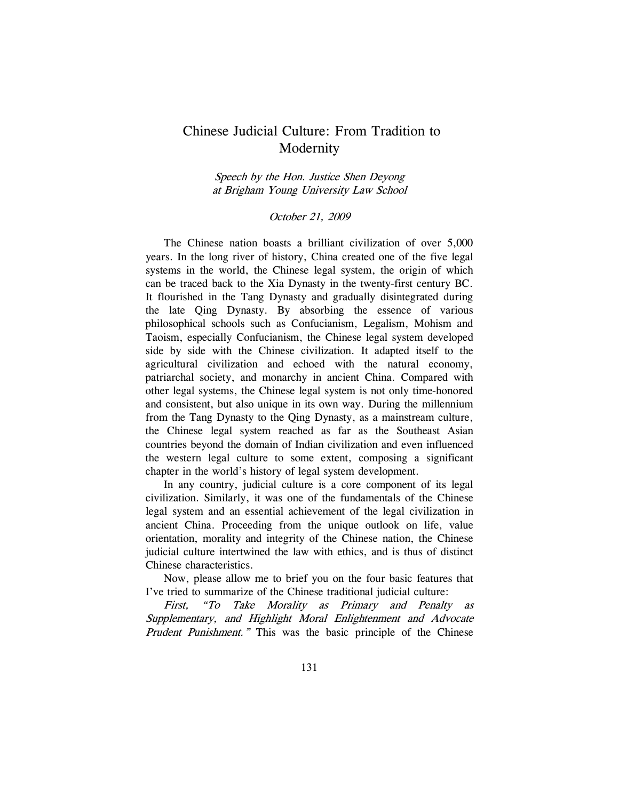### Chinese Judicial Culture: From Tradition to Modernity

Speech by the Hon. Justice Shen Deyong at Brigham Young University Law School

#### October 21, 2009

The Chinese nation boasts a brilliant civilization of over 5,000 years. In the long river of history, China created one of the five legal systems in the world, the Chinese legal system, the origin of which can be traced back to the Xia Dynasty in the twenty-first century BC. It flourished in the Tang Dynasty and gradually disintegrated during the late Qing Dynasty. By absorbing the essence of various philosophical schools such as Confucianism, Legalism, Mohism and Taoism, especially Confucianism, the Chinese legal system developed side by side with the Chinese civilization. It adapted itself to the agricultural civilization and echoed with the natural economy, patriarchal society, and monarchy in ancient China. Compared with other legal systems, the Chinese legal system is not only time-honored and consistent, but also unique in its own way. During the millennium from the Tang Dynasty to the Qing Dynasty, as a mainstream culture, the Chinese legal system reached as far as the Southeast Asian countries beyond the domain of Indian civilization and even influenced the western legal culture to some extent, composing a significant chapter in the world's history of legal system development.

In any country, judicial culture is a core component of its legal civilization. Similarly, it was one of the fundamentals of the Chinese legal system and an essential achievement of the legal civilization in ancient China. Proceeding from the unique outlook on life, value orientation, morality and integrity of the Chinese nation, the Chinese judicial culture intertwined the law with ethics, and is thus of distinct Chinese characteristics.

Now, please allow me to brief you on the four basic features that I've tried to summarize of the Chinese traditional judicial culture:

First, "To Take Morality as Primary and Penalty as Supplementary, and Highlight Moral Enlightenment and Advocate Prudent Punishment." This was the basic principle of the Chinese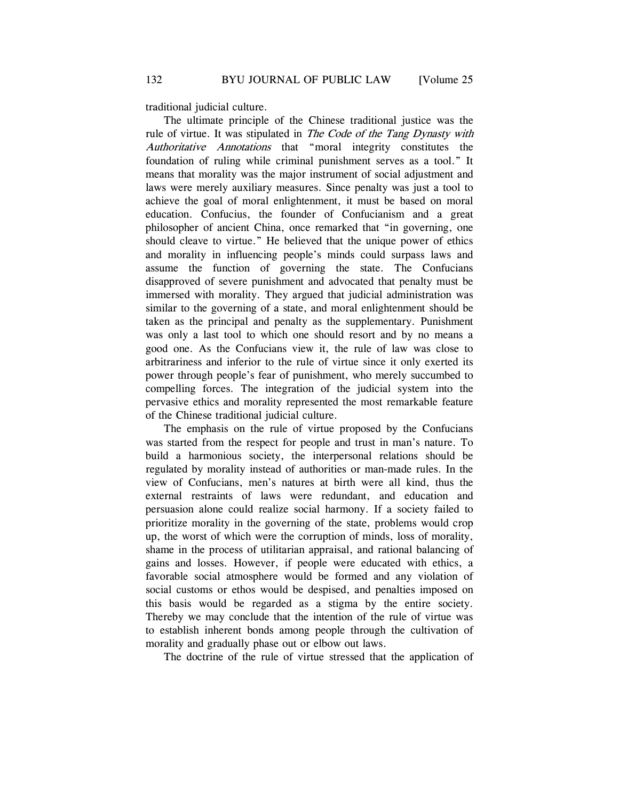traditional judicial culture.

The ultimate principle of the Chinese traditional justice was the rule of virtue. It was stipulated in The Code of the Tang Dynasty with Authoritative Annotations that "moral integrity constitutes the foundation of ruling while criminal punishment serves as a tool." It means that morality was the major instrument of social adjustment and laws were merely auxiliary measures. Since penalty was just a tool to achieve the goal of moral enlightenment, it must be based on moral education. Confucius, the founder of Confucianism and a great philosopher of ancient China, once remarked that "in governing, one should cleave to virtue." He believed that the unique power of ethics and morality in influencing people's minds could surpass laws and assume the function of governing the state. The Confucians disapproved of severe punishment and advocated that penalty must be immersed with morality. They argued that judicial administration was similar to the governing of a state, and moral enlightenment should be taken as the principal and penalty as the supplementary. Punishment was only a last tool to which one should resort and by no means a good one. As the Confucians view it, the rule of law was close to arbitrariness and inferior to the rule of virtue since it only exerted its power through people's fear of punishment, who merely succumbed to compelling forces. The integration of the judicial system into the pervasive ethics and morality represented the most remarkable feature of the Chinese traditional judicial culture.

The emphasis on the rule of virtue proposed by the Confucians was started from the respect for people and trust in man's nature. To build a harmonious society, the interpersonal relations should be regulated by morality instead of authorities or man-made rules. In the view of Confucians, men's natures at birth were all kind, thus the external restraints of laws were redundant, and education and persuasion alone could realize social harmony. If a society failed to prioritize morality in the governing of the state, problems would crop up, the worst of which were the corruption of minds, loss of morality, shame in the process of utilitarian appraisal, and rational balancing of gains and losses. However, if people were educated with ethics, a favorable social atmosphere would be formed and any violation of social customs or ethos would be despised, and penalties imposed on this basis would be regarded as a stigma by the entire society. Thereby we may conclude that the intention of the rule of virtue was to establish inherent bonds among people through the cultivation of morality and gradually phase out or elbow out laws.

The doctrine of the rule of virtue stressed that the application of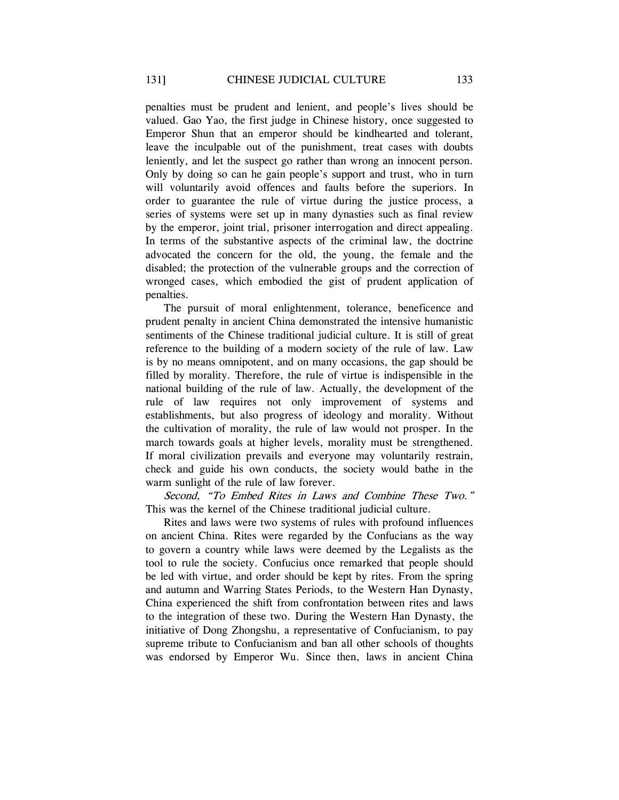penalties must be prudent and lenient, and people's lives should be valued. Gao Yao, the first judge in Chinese history, once suggested to Emperor Shun that an emperor should be kindhearted and tolerant, leave the inculpable out of the punishment, treat cases with doubts leniently, and let the suspect go rather than wrong an innocent person. Only by doing so can he gain people's support and trust, who in turn will voluntarily avoid offences and faults before the superiors. In order to guarantee the rule of virtue during the justice process, a series of systems were set up in many dynasties such as final review by the emperor, joint trial, prisoner interrogation and direct appealing. In terms of the substantive aspects of the criminal law, the doctrine advocated the concern for the old, the young, the female and the disabled; the protection of the vulnerable groups and the correction of wronged cases, which embodied the gist of prudent application of penalties.

The pursuit of moral enlightenment, tolerance, beneficence and prudent penalty in ancient China demonstrated the intensive humanistic sentiments of the Chinese traditional judicial culture. It is still of great reference to the building of a modern society of the rule of law. Law is by no means omnipotent, and on many occasions, the gap should be filled by morality. Therefore, the rule of virtue is indispensible in the national building of the rule of law. Actually, the development of the rule of law requires not only improvement of systems and establishments, but also progress of ideology and morality. Without the cultivation of morality, the rule of law would not prosper. In the march towards goals at higher levels, morality must be strengthened. If moral civilization prevails and everyone may voluntarily restrain, check and guide his own conducts, the society would bathe in the warm sunlight of the rule of law forever.

Second, "To Embed Rites in Laws and Combine These Two." This was the kernel of the Chinese traditional judicial culture.

Rites and laws were two systems of rules with profound influences on ancient China. Rites were regarded by the Confucians as the way to govern a country while laws were deemed by the Legalists as the tool to rule the society. Confucius once remarked that people should be led with virtue, and order should be kept by rites. From the spring and autumn and Warring States Periods, to the Western Han Dynasty, China experienced the shift from confrontation between rites and laws to the integration of these two. During the Western Han Dynasty, the initiative of Dong Zhongshu, a representative of Confucianism, to pay supreme tribute to Confucianism and ban all other schools of thoughts was endorsed by Emperor Wu. Since then, laws in ancient China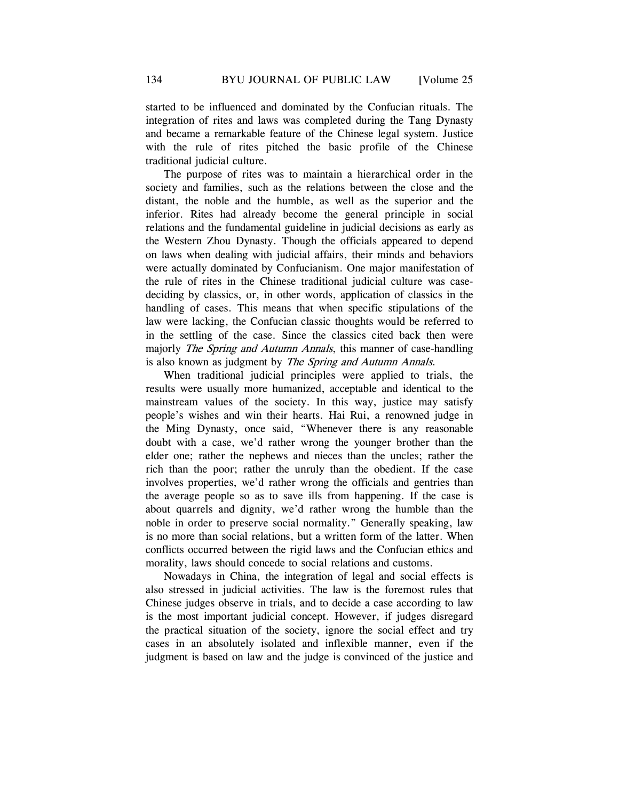started to be influenced and dominated by the Confucian rituals. The integration of rites and laws was completed during the Tang Dynasty and became a remarkable feature of the Chinese legal system. Justice with the rule of rites pitched the basic profile of the Chinese traditional judicial culture.

The purpose of rites was to maintain a hierarchical order in the society and families, such as the relations between the close and the distant, the noble and the humble, as well as the superior and the inferior. Rites had already become the general principle in social relations and the fundamental guideline in judicial decisions as early as the Western Zhou Dynasty. Though the officials appeared to depend on laws when dealing with judicial affairs, their minds and behaviors were actually dominated by Confucianism. One major manifestation of the rule of rites in the Chinese traditional judicial culture was casedeciding by classics, or, in other words, application of classics in the handling of cases. This means that when specific stipulations of the law were lacking, the Confucian classic thoughts would be referred to in the settling of the case. Since the classics cited back then were majorly *The Spring and Autumn Annals*, this manner of case-handling is also known as judgment by The Spring and Autumn Annals.

When traditional judicial principles were applied to trials, the results were usually more humanized, acceptable and identical to the mainstream values of the society. In this way, justice may satisfy people's wishes and win their hearts. Hai Rui, a renowned judge in the Ming Dynasty, once said, "Whenever there is any reasonable doubt with a case, we'd rather wrong the younger brother than the elder one; rather the nephews and nieces than the uncles; rather the rich than the poor; rather the unruly than the obedient. If the case involves properties, we'd rather wrong the officials and gentries than the average people so as to save ills from happening. If the case is about quarrels and dignity, we'd rather wrong the humble than the noble in order to preserve social normality." Generally speaking, law is no more than social relations, but a written form of the latter. When conflicts occurred between the rigid laws and the Confucian ethics and morality, laws should concede to social relations and customs.

Nowadays in China, the integration of legal and social effects is also stressed in judicial activities. The law is the foremost rules that Chinese judges observe in trials, and to decide a case according to law is the most important judicial concept. However, if judges disregard the practical situation of the society, ignore the social effect and try cases in an absolutely isolated and inflexible manner, even if the judgment is based on law and the judge is convinced of the justice and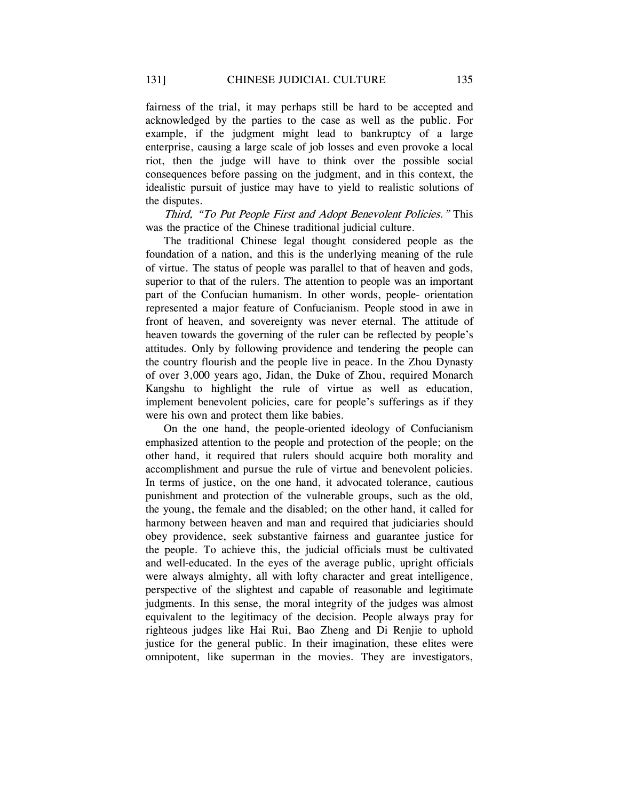fairness of the trial, it may perhaps still be hard to be accepted and acknowledged by the parties to the case as well as the public. For example, if the judgment might lead to bankruptcy of a large enterprise, causing a large scale of job losses and even provoke a local riot, then the judge will have to think over the possible social consequences before passing on the judgment, and in this context, the idealistic pursuit of justice may have to yield to realistic solutions of the disputes.

Third, "To Put People First and Adopt Benevolent Policies." This was the practice of the Chinese traditional judicial culture.

The traditional Chinese legal thought considered people as the foundation of a nation, and this is the underlying meaning of the rule of virtue. The status of people was parallel to that of heaven and gods, superior to that of the rulers. The attention to people was an important part of the Confucian humanism. In other words, people- orientation represented a major feature of Confucianism. People stood in awe in front of heaven, and sovereignty was never eternal. The attitude of heaven towards the governing of the ruler can be reflected by people's attitudes. Only by following providence and tendering the people can the country flourish and the people live in peace. In the Zhou Dynasty of over 3,000 years ago, Jidan, the Duke of Zhou, required Monarch Kangshu to highlight the rule of virtue as well as education, implement benevolent policies, care for people's sufferings as if they were his own and protect them like babies.

On the one hand, the people-oriented ideology of Confucianism emphasized attention to the people and protection of the people; on the other hand, it required that rulers should acquire both morality and accomplishment and pursue the rule of virtue and benevolent policies. In terms of justice, on the one hand, it advocated tolerance, cautious punishment and protection of the vulnerable groups, such as the old, the young, the female and the disabled; on the other hand, it called for harmony between heaven and man and required that judiciaries should obey providence, seek substantive fairness and guarantee justice for the people. To achieve this, the judicial officials must be cultivated and well-educated. In the eyes of the average public, upright officials were always almighty, all with lofty character and great intelligence, perspective of the slightest and capable of reasonable and legitimate judgments. In this sense, the moral integrity of the judges was almost equivalent to the legitimacy of the decision. People always pray for righteous judges like Hai Rui, Bao Zheng and Di Renjie to uphold justice for the general public. In their imagination, these elites were omnipotent, like superman in the movies. They are investigators,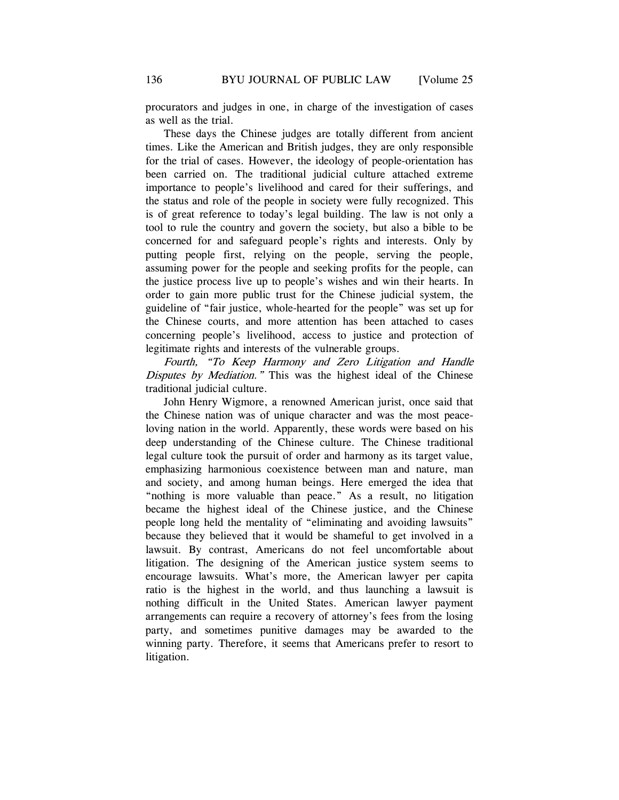procurators and judges in one, in charge of the investigation of cases as well as the trial.

These days the Chinese judges are totally different from ancient times. Like the American and British judges, they are only responsible for the trial of cases. However, the ideology of people-orientation has been carried on. The traditional judicial culture attached extreme importance to people's livelihood and cared for their sufferings, and the status and role of the people in society were fully recognized. This is of great reference to today's legal building. The law is not only a tool to rule the country and govern the society, but also a bible to be concerned for and safeguard people's rights and interests. Only by putting people first, relying on the people, serving the people, assuming power for the people and seeking profits for the people, can the justice process live up to people's wishes and win their hearts. In order to gain more public trust for the Chinese judicial system, the guideline of "fair justice, whole-hearted for the people" was set up for the Chinese courts, and more attention has been attached to cases concerning people's livelihood, access to justice and protection of legitimate rights and interests of the vulnerable groups.

Fourth, "To Keep Harmony and Zero Litigation and Handle Disputes by Mediation." This was the highest ideal of the Chinese traditional judicial culture.

John Henry Wigmore, a renowned American jurist, once said that the Chinese nation was of unique character and was the most peaceloving nation in the world. Apparently, these words were based on his deep understanding of the Chinese culture. The Chinese traditional legal culture took the pursuit of order and harmony as its target value, emphasizing harmonious coexistence between man and nature, man and society, and among human beings. Here emerged the idea that "nothing is more valuable than peace." As a result, no litigation became the highest ideal of the Chinese justice, and the Chinese people long held the mentality of "eliminating and avoiding lawsuits" because they believed that it would be shameful to get involved in a lawsuit. By contrast, Americans do not feel uncomfortable about litigation. The designing of the American justice system seems to encourage lawsuits. What's more, the American lawyer per capita ratio is the highest in the world, and thus launching a lawsuit is nothing difficult in the United States. American lawyer payment arrangements can require a recovery of attorney's fees from the losing party, and sometimes punitive damages may be awarded to the winning party. Therefore, it seems that Americans prefer to resort to litigation.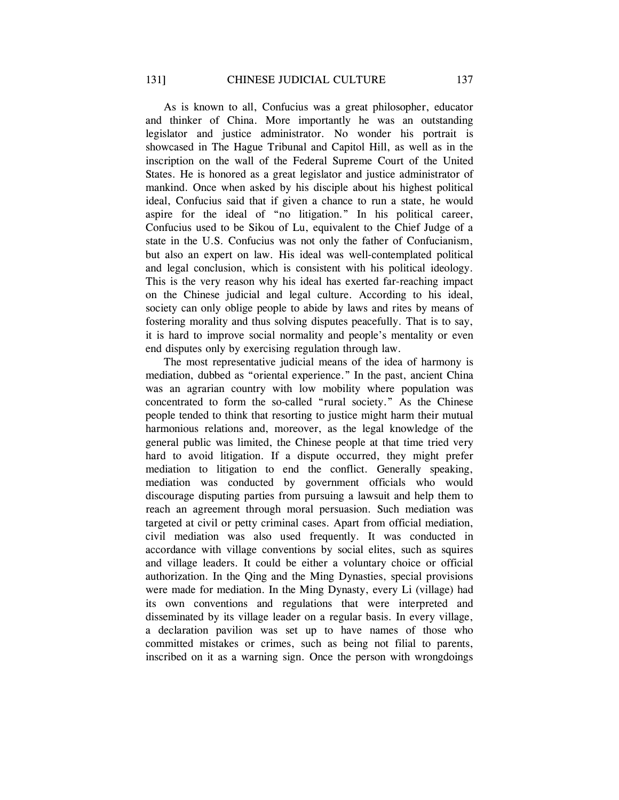As is known to all, Confucius was a great philosopher, educator and thinker of China. More importantly he was an outstanding legislator and justice administrator. No wonder his portrait is showcased in The Hague Tribunal and Capitol Hill, as well as in the inscription on the wall of the Federal Supreme Court of the United States. He is honored as a great legislator and justice administrator of mankind. Once when asked by his disciple about his highest political ideal, Confucius said that if given a chance to run a state, he would aspire for the ideal of "no litigation." In his political career, Confucius used to be Sikou of Lu, equivalent to the Chief Judge of a state in the U.S. Confucius was not only the father of Confucianism, but also an expert on law. His ideal was well-contemplated political and legal conclusion, which is consistent with his political ideology. This is the very reason why his ideal has exerted far-reaching impact on the Chinese judicial and legal culture. According to his ideal, society can only oblige people to abide by laws and rites by means of fostering morality and thus solving disputes peacefully. That is to say, it is hard to improve social normality and people's mentality or even end disputes only by exercising regulation through law.

The most representative judicial means of the idea of harmony is mediation, dubbed as "oriental experience." In the past, ancient China was an agrarian country with low mobility where population was concentrated to form the so-called "rural society." As the Chinese people tended to think that resorting to justice might harm their mutual harmonious relations and, moreover, as the legal knowledge of the general public was limited, the Chinese people at that time tried very hard to avoid litigation. If a dispute occurred, they might prefer mediation to litigation to end the conflict. Generally speaking, mediation was conducted by government officials who would discourage disputing parties from pursuing a lawsuit and help them to reach an agreement through moral persuasion. Such mediation was targeted at civil or petty criminal cases. Apart from official mediation, civil mediation was also used frequently. It was conducted in accordance with village conventions by social elites, such as squires and village leaders. It could be either a voluntary choice or official authorization. In the Qing and the Ming Dynasties, special provisions were made for mediation. In the Ming Dynasty, every Li (village) had its own conventions and regulations that were interpreted and disseminated by its village leader on a regular basis. In every village, a declaration pavilion was set up to have names of those who committed mistakes or crimes, such as being not filial to parents, inscribed on it as a warning sign. Once the person with wrongdoings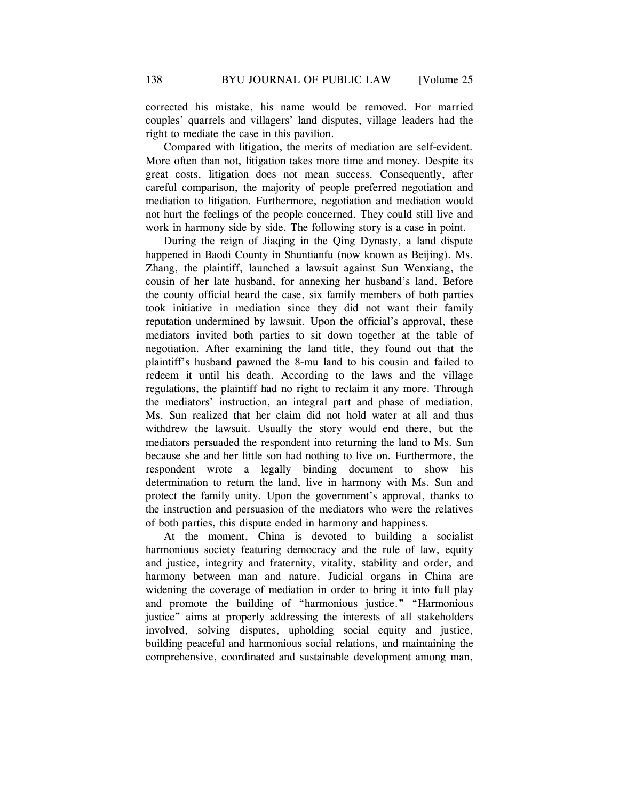corrected his mistake, his name would be removed. For married couples' quarrels and villagers' land disputes, village leaders had the right to mediate the case in this pavilion.

Compared with litigation, the merits of mediation are self-evident. More often than not, litigation takes more time and money. Despite its great costs, litigation does not mean success. Consequently, after careful comparison, the majority of people preferred negotiation and mediation to litigation. Furthermore, negotiation and mediation would not hurt the feelings of the people concerned. They could still live and work in harmony side by side. The following story is a case in point.

During the reign of Jiaqing in the Qing Dynasty, a land dispute happened in Baodi County in Shuntianfu (now known as Beijing). Ms. Zhang, the plaintiff, launched a lawsuit against Sun Wenxiang, the cousin of her late husband, for annexing her husband's land. Before the county official heard the case, six family members of both parties took initiative in mediation since they did not want their family reputation undermined by lawsuit. Upon the official's approval, these mediators invited both parties to sit down together at the table of negotiation. After examining the land title, they found out that the plaintiff's husband pawned the 8-mu land to his cousin and failed to redeem it until his death. According to the laws and the village regulations, the plaintiff had no right to reclaim it any more. Through the mediators' instruction, an integral part and phase of mediation, Ms. Sun realized that her claim did not hold water at all and thus withdrew the lawsuit. Usually the story would end there, but the mediators persuaded the respondent into returning the land to Ms. Sun because she and her little son had nothing to live on. Furthermore, the respondent wrote a legally binding document to show his determination to return the land, live in harmony with Ms. Sun and protect the family unity. Upon the government's approval, thanks to the instruction and persuasion of the mediators who were the relatives of both parties, this dispute ended in harmony and happiness.

At the moment, China is devoted to building a socialist harmonious society featuring democracy and the rule of law, equity and justice, integrity and fraternity, vitality, stability and order, and harmony between man and nature. Judicial organs in China are widening the coverage of mediation in order to bring it into full play and promote the building of "harmonious justice." "Harmonious justice" aims at properly addressing the interests of all stakeholders involved, solving disputes, upholding social equity and justice, building peaceful and harmonious social relations, and maintaining the comprehensive, coordinated and sustainable development among man,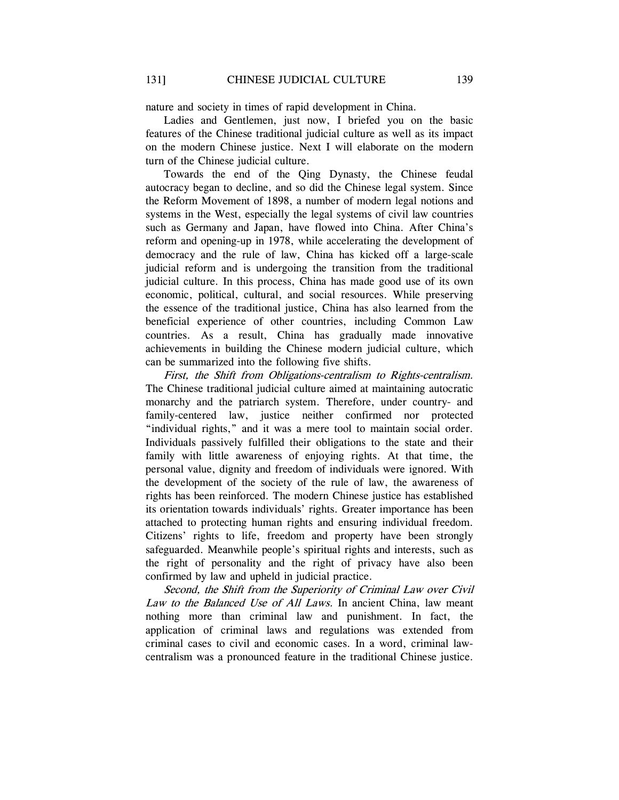nature and society in times of rapid development in China.

Ladies and Gentlemen, just now, I briefed you on the basic features of the Chinese traditional judicial culture as well as its impact on the modern Chinese justice. Next I will elaborate on the modern turn of the Chinese judicial culture.

Towards the end of the Qing Dynasty, the Chinese feudal autocracy began to decline, and so did the Chinese legal system. Since the Reform Movement of 1898, a number of modern legal notions and systems in the West, especially the legal systems of civil law countries such as Germany and Japan, have flowed into China. After China's reform and opening-up in 1978, while accelerating the development of democracy and the rule of law, China has kicked off a large-scale judicial reform and is undergoing the transition from the traditional judicial culture. In this process, China has made good use of its own economic, political, cultural, and social resources. While preserving the essence of the traditional justice, China has also learned from the beneficial experience of other countries, including Common Law countries. As a result, China has gradually made innovative achievements in building the Chinese modern judicial culture, which can be summarized into the following five shifts.

First, the Shift from Obligations-centralism to Rights-centralism. The Chinese traditional judicial culture aimed at maintaining autocratic monarchy and the patriarch system. Therefore, under country- and family-centered law, justice neither confirmed nor protected "individual rights," and it was a mere tool to maintain social order. Individuals passively fulfilled their obligations to the state and their family with little awareness of enjoying rights. At that time, the personal value, dignity and freedom of individuals were ignored. With the development of the society of the rule of law, the awareness of rights has been reinforced. The modern Chinese justice has established its orientation towards individuals' rights. Greater importance has been attached to protecting human rights and ensuring individual freedom. Citizens' rights to life, freedom and property have been strongly safeguarded. Meanwhile people's spiritual rights and interests, such as the right of personality and the right of privacy have also been confirmed by law and upheld in judicial practice.

Second, the Shift from the Superiority of Criminal Law over Civil Law to the Balanced Use of All Laws. In ancient China, law meant nothing more than criminal law and punishment. In fact, the application of criminal laws and regulations was extended from criminal cases to civil and economic cases. In a word, criminal lawcentralism was a pronounced feature in the traditional Chinese justice.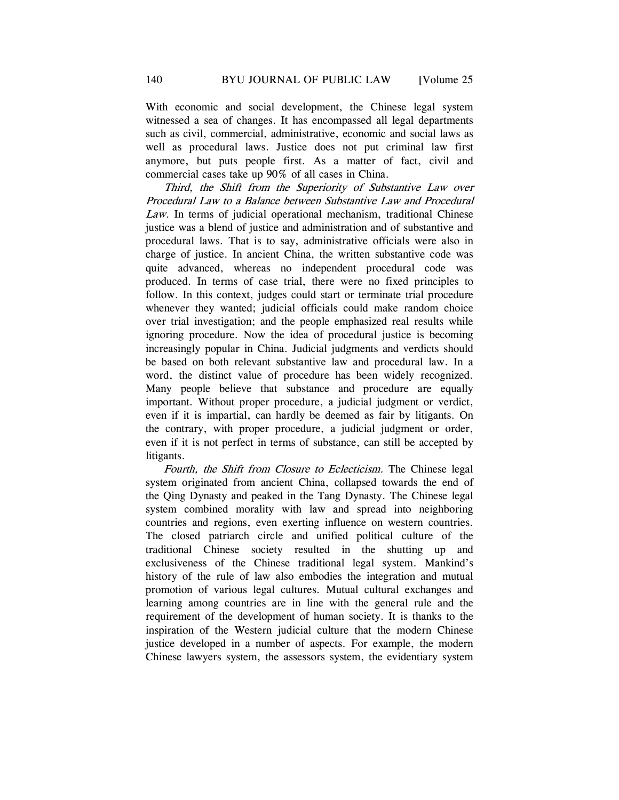With economic and social development, the Chinese legal system witnessed a sea of changes. It has encompassed all legal departments such as civil, commercial, administrative, economic and social laws as well as procedural laws. Justice does not put criminal law first anymore, but puts people first. As a matter of fact, civil and commercial cases take up 90% of all cases in China.

Third, the Shift from the Superiority of Substantive Law over Procedural Law to a Balance between Substantive Law and Procedural Law. In terms of judicial operational mechanism, traditional Chinese justice was a blend of justice and administration and of substantive and procedural laws. That is to say, administrative officials were also in charge of justice. In ancient China, the written substantive code was quite advanced, whereas no independent procedural code was produced. In terms of case trial, there were no fixed principles to follow. In this context, judges could start or terminate trial procedure whenever they wanted; judicial officials could make random choice over trial investigation; and the people emphasized real results while ignoring procedure. Now the idea of procedural justice is becoming increasingly popular in China. Judicial judgments and verdicts should be based on both relevant substantive law and procedural law. In a word, the distinct value of procedure has been widely recognized. Many people believe that substance and procedure are equally important. Without proper procedure, a judicial judgment or verdict, even if it is impartial, can hardly be deemed as fair by litigants. On the contrary, with proper procedure, a judicial judgment or order, even if it is not perfect in terms of substance, can still be accepted by litigants.

Fourth, the Shift from Closure to Eclecticism. The Chinese legal system originated from ancient China, collapsed towards the end of the Qing Dynasty and peaked in the Tang Dynasty. The Chinese legal system combined morality with law and spread into neighboring countries and regions, even exerting influence on western countries. The closed patriarch circle and unified political culture of the traditional Chinese society resulted in the shutting up and exclusiveness of the Chinese traditional legal system. Mankind's history of the rule of law also embodies the integration and mutual promotion of various legal cultures. Mutual cultural exchanges and learning among countries are in line with the general rule and the requirement of the development of human society. It is thanks to the inspiration of the Western judicial culture that the modern Chinese justice developed in a number of aspects. For example, the modern Chinese lawyers system, the assessors system, the evidentiary system